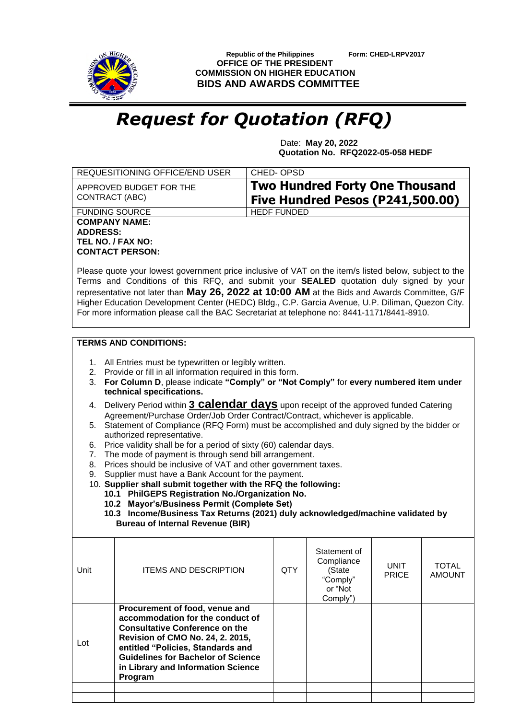

 **Republic of the Philippines Form: CHED-LRPV2017 OFFICE OF THE PRESIDENT COMMISSION ON HIGHER EDUCATION BIDS AND AWARDS COMMITTEE**

## *Request for Quotation (RFQ)*

 Date: **May 20, 2022 Quotation No. RFQ2022-05-058 HEDF**

|                                                                                                                                                                                                                                                                                                                                                                                                                                                                                                                                                                                                                                                                                                                                                                                                                                                                                                                                                                                                                                                                                                                                                                                       | REQUESITIONING OFFICE/END USER                                                                                                                                                                                                                                                     | CHED-OPSD  |                                                                           |                             |                               |  |  |  |
|---------------------------------------------------------------------------------------------------------------------------------------------------------------------------------------------------------------------------------------------------------------------------------------------------------------------------------------------------------------------------------------------------------------------------------------------------------------------------------------------------------------------------------------------------------------------------------------------------------------------------------------------------------------------------------------------------------------------------------------------------------------------------------------------------------------------------------------------------------------------------------------------------------------------------------------------------------------------------------------------------------------------------------------------------------------------------------------------------------------------------------------------------------------------------------------|------------------------------------------------------------------------------------------------------------------------------------------------------------------------------------------------------------------------------------------------------------------------------------|------------|---------------------------------------------------------------------------|-----------------------------|-------------------------------|--|--|--|
| APPROVED BUDGET FOR THE<br>CONTRACT (ABC)                                                                                                                                                                                                                                                                                                                                                                                                                                                                                                                                                                                                                                                                                                                                                                                                                                                                                                                                                                                                                                                                                                                                             |                                                                                                                                                                                                                                                                                    |            | <b>Two Hundred Forty One Thousand</b><br>Five Hundred Pesos (P241,500.00) |                             |                               |  |  |  |
|                                                                                                                                                                                                                                                                                                                                                                                                                                                                                                                                                                                                                                                                                                                                                                                                                                                                                                                                                                                                                                                                                                                                                                                       | <b>FUNDING SOURCE</b><br><b>HEDF FUNDED</b>                                                                                                                                                                                                                                        |            |                                                                           |                             |                               |  |  |  |
| <b>COMPANY NAME:</b><br><b>ADDRESS:</b><br>TEL NO. / FAX NO:<br><b>CONTACT PERSON:</b><br>Please quote your lowest government price inclusive of VAT on the item/s listed below, subject to the<br>Terms and Conditions of this RFQ, and submit your SEALED quotation duly signed by your<br>representative not later than May 26, 2022 at 10:00 AM at the Bids and Awards Committee, G/F<br>Higher Education Development Center (HEDC) Bldg., C.P. Garcia Avenue, U.P. Diliman, Quezon City.<br>For more information please call the BAC Secretariat at telephone no: 8441-1171/8441-8910.                                                                                                                                                                                                                                                                                                                                                                                                                                                                                                                                                                                           |                                                                                                                                                                                                                                                                                    |            |                                                                           |                             |                               |  |  |  |
|                                                                                                                                                                                                                                                                                                                                                                                                                                                                                                                                                                                                                                                                                                                                                                                                                                                                                                                                                                                                                                                                                                                                                                                       |                                                                                                                                                                                                                                                                                    |            |                                                                           |                             |                               |  |  |  |
| <b>TERMS AND CONDITIONS:</b><br>1. All Entries must be typewritten or legibly written.<br>2. Provide or fill in all information required in this form.<br>For Column D, please indicate "Comply" or "Not Comply" for every numbered item under<br>3.<br>technical specifications.<br>Delivery Period within 3 <b>Calendar days</b> upon receipt of the approved funded Catering<br>4.<br>Agreement/Purchase Order/Job Order Contract/Contract, whichever is applicable.<br>Statement of Compliance (RFQ Form) must be accomplished and duly signed by the bidder or<br>5.<br>authorized representative.<br>Price validity shall be for a period of sixty (60) calendar days.<br>6.<br>The mode of payment is through send bill arrangement.<br>7.<br>Prices should be inclusive of VAT and other government taxes.<br>8.<br>Supplier must have a Bank Account for the payment.<br>9.<br>10. Supplier shall submit together with the RFQ the following:<br>10.1 PhilGEPS Registration No./Organization No.<br>10.2 Mayor's/Business Permit (Complete Set)<br>10.3 Income/Business Tax Returns (2021) duly acknowledged/machine validated by<br><b>Bureau of Internal Revenue (BIR)</b> |                                                                                                                                                                                                                                                                                    |            |                                                                           |                             |                               |  |  |  |
| Unit                                                                                                                                                                                                                                                                                                                                                                                                                                                                                                                                                                                                                                                                                                                                                                                                                                                                                                                                                                                                                                                                                                                                                                                  | <b>ITEMS AND DESCRIPTION</b>                                                                                                                                                                                                                                                       | <b>QTY</b> | Statement of<br>Compliance<br>(State<br>"Comply"<br>or "Not<br>Comply")   | <b>UNIT</b><br><b>PRICE</b> | <b>TOTAL</b><br><b>AMOUNT</b> |  |  |  |
| Lot                                                                                                                                                                                                                                                                                                                                                                                                                                                                                                                                                                                                                                                                                                                                                                                                                                                                                                                                                                                                                                                                                                                                                                                   | Procurement of food, venue and<br>accommodation for the conduct of<br><b>Consultative Conference on the</b><br>Revision of CMO No. 24, 2. 2015,<br>entitled "Policies, Standards and<br><b>Guidelines for Bachelor of Science</b><br>in Library and Information Science<br>Program |            |                                                                           |                             |                               |  |  |  |
|                                                                                                                                                                                                                                                                                                                                                                                                                                                                                                                                                                                                                                                                                                                                                                                                                                                                                                                                                                                                                                                                                                                                                                                       |                                                                                                                                                                                                                                                                                    |            |                                                                           |                             |                               |  |  |  |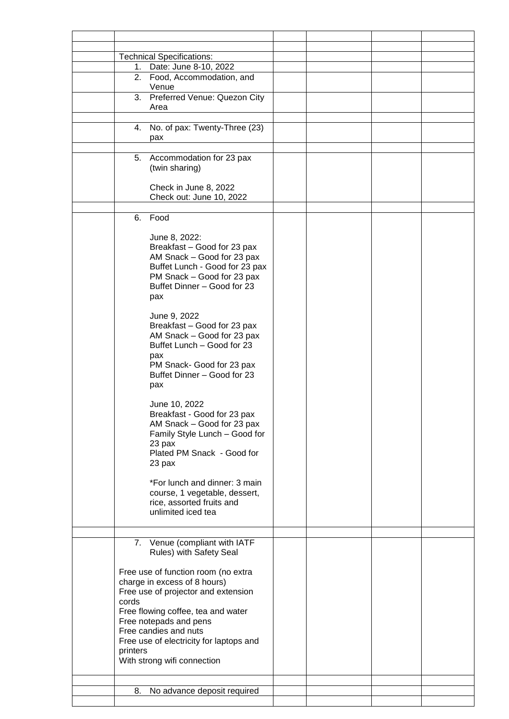|  |                                                                                                                                                                                                                                                         | <b>Technical Specifications:</b> |  |  |
|--|---------------------------------------------------------------------------------------------------------------------------------------------------------------------------------------------------------------------------------------------------------|----------------------------------|--|--|
|  |                                                                                                                                                                                                                                                         | 1. Date: June 8-10, 2022         |  |  |
|  |                                                                                                                                                                                                                                                         | 2. Food, Accommodation, and      |  |  |
|  |                                                                                                                                                                                                                                                         | Venue                            |  |  |
|  |                                                                                                                                                                                                                                                         | 3. Preferred Venue: Quezon City  |  |  |
|  |                                                                                                                                                                                                                                                         | Area                             |  |  |
|  |                                                                                                                                                                                                                                                         |                                  |  |  |
|  | 4.                                                                                                                                                                                                                                                      | No. of pax: Twenty-Three (23)    |  |  |
|  |                                                                                                                                                                                                                                                         | pax                              |  |  |
|  |                                                                                                                                                                                                                                                         |                                  |  |  |
|  |                                                                                                                                                                                                                                                         | 5. Accommodation for 23 pax      |  |  |
|  |                                                                                                                                                                                                                                                         | (twin sharing)                   |  |  |
|  |                                                                                                                                                                                                                                                         |                                  |  |  |
|  |                                                                                                                                                                                                                                                         | Check in June 8, 2022            |  |  |
|  |                                                                                                                                                                                                                                                         | Check out: June 10, 2022         |  |  |
|  |                                                                                                                                                                                                                                                         |                                  |  |  |
|  | 6.                                                                                                                                                                                                                                                      | Food                             |  |  |
|  |                                                                                                                                                                                                                                                         |                                  |  |  |
|  |                                                                                                                                                                                                                                                         | June 8, 2022:                    |  |  |
|  |                                                                                                                                                                                                                                                         |                                  |  |  |
|  |                                                                                                                                                                                                                                                         | Breakfast - Good for 23 pax      |  |  |
|  |                                                                                                                                                                                                                                                         | AM Snack - Good for 23 pax       |  |  |
|  |                                                                                                                                                                                                                                                         | Buffet Lunch - Good for 23 pax   |  |  |
|  |                                                                                                                                                                                                                                                         | PM Snack - Good for 23 pax       |  |  |
|  |                                                                                                                                                                                                                                                         | Buffet Dinner - Good for 23      |  |  |
|  |                                                                                                                                                                                                                                                         | pax                              |  |  |
|  |                                                                                                                                                                                                                                                         |                                  |  |  |
|  |                                                                                                                                                                                                                                                         | June 9, 2022                     |  |  |
|  |                                                                                                                                                                                                                                                         | Breakfast - Good for 23 pax      |  |  |
|  |                                                                                                                                                                                                                                                         | AM Snack - Good for 23 pax       |  |  |
|  |                                                                                                                                                                                                                                                         | Buffet Lunch - Good for 23       |  |  |
|  |                                                                                                                                                                                                                                                         | pax                              |  |  |
|  |                                                                                                                                                                                                                                                         | PM Snack- Good for 23 pax        |  |  |
|  |                                                                                                                                                                                                                                                         | Buffet Dinner - Good for 23      |  |  |
|  |                                                                                                                                                                                                                                                         | pax                              |  |  |
|  |                                                                                                                                                                                                                                                         |                                  |  |  |
|  |                                                                                                                                                                                                                                                         | June 10, 2022                    |  |  |
|  |                                                                                                                                                                                                                                                         | Breakfast - Good for 23 pax      |  |  |
|  |                                                                                                                                                                                                                                                         | AM Snack - Good for 23 pax       |  |  |
|  |                                                                                                                                                                                                                                                         | Family Style Lunch - Good for    |  |  |
|  |                                                                                                                                                                                                                                                         | 23 pax                           |  |  |
|  |                                                                                                                                                                                                                                                         | Plated PM Snack - Good for       |  |  |
|  |                                                                                                                                                                                                                                                         | 23 pax                           |  |  |
|  |                                                                                                                                                                                                                                                         |                                  |  |  |
|  |                                                                                                                                                                                                                                                         | *For lunch and dinner: 3 main    |  |  |
|  |                                                                                                                                                                                                                                                         | course, 1 vegetable, dessert,    |  |  |
|  |                                                                                                                                                                                                                                                         | rice, assorted fruits and        |  |  |
|  |                                                                                                                                                                                                                                                         | unlimited iced tea               |  |  |
|  |                                                                                                                                                                                                                                                         |                                  |  |  |
|  |                                                                                                                                                                                                                                                         |                                  |  |  |
|  |                                                                                                                                                                                                                                                         |                                  |  |  |
|  |                                                                                                                                                                                                                                                         | 7. Venue (compliant with IATF    |  |  |
|  |                                                                                                                                                                                                                                                         | Rules) with Safety Seal          |  |  |
|  |                                                                                                                                                                                                                                                         |                                  |  |  |
|  | Free use of function room (no extra<br>charge in excess of 8 hours)<br>Free use of projector and extension<br>cords<br>Free flowing coffee, tea and water<br>Free notepads and pens<br>Free candies and nuts<br>Free use of electricity for laptops and |                                  |  |  |
|  |                                                                                                                                                                                                                                                         |                                  |  |  |
|  |                                                                                                                                                                                                                                                         |                                  |  |  |
|  |                                                                                                                                                                                                                                                         |                                  |  |  |
|  |                                                                                                                                                                                                                                                         |                                  |  |  |
|  |                                                                                                                                                                                                                                                         |                                  |  |  |
|  |                                                                                                                                                                                                                                                         |                                  |  |  |
|  |                                                                                                                                                                                                                                                         |                                  |  |  |
|  | printers                                                                                                                                                                                                                                                |                                  |  |  |
|  |                                                                                                                                                                                                                                                         | With strong wifi connection      |  |  |
|  |                                                                                                                                                                                                                                                         |                                  |  |  |
|  |                                                                                                                                                                                                                                                         |                                  |  |  |
|  | 8.                                                                                                                                                                                                                                                      | No advance deposit required      |  |  |
|  |                                                                                                                                                                                                                                                         |                                  |  |  |